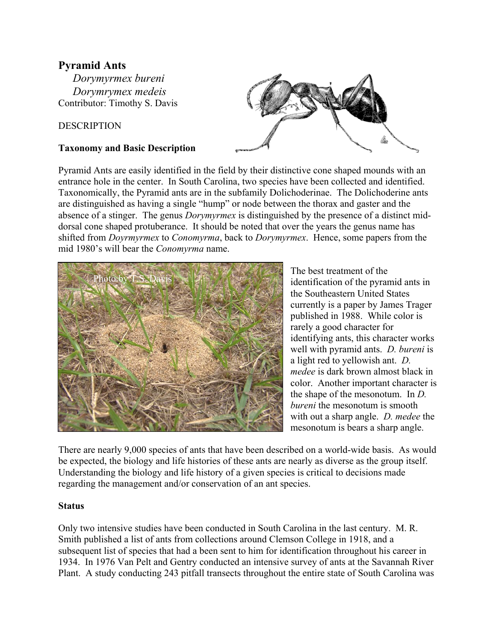# **Pyramid Ants**

*Dorymyrmex bureni Dorymrymex medeis*  Contributor: Timothy S. Davis

### DESCRIPTION

#### **Taxonomy and Basic Description**



Pyramid Ants are easily identified in the field by their distinctive cone shaped mounds with an entrance hole in the center. In South Carolina, two species have been collected and identified. Taxonomically, the Pyramid ants are in the subfamily Dolichoderinae. The Dolichoderine ants are distinguished as having a single "hump" or node between the thorax and gaster and the absence of a stinger. The genus *Dorymyrmex* is distinguished by the presence of a distinct middorsal cone shaped protuberance. It should be noted that over the years the genus name has shifted from *Doyrmyrmex* to *Conomyrma*, back to *Dorymyrmex*. Hence, some papers from the mid 1980's will bear the *Conomyrma* name.



The best treatment of the identification of the pyramid ants in the Southeastern United States currently is a paper by James Trager published in 1988. While color is rarely a good character for identifying ants, this character works well with pyramid ants. *D. bureni* is a light red to yellowish ant. *D. medee* is dark brown almost black in color. Another important character is the shape of the mesonotum. In *D. bureni* the mesonotum is smooth with out a sharp angle. *D. medee* the mesonotum is bears a sharp angle.

There are nearly 9,000 species of ants that have been described on a world-wide basis. As would be expected, the biology and life histories of these ants are nearly as diverse as the group itself. Understanding the biology and life history of a given species is critical to decisions made regarding the management and/or conservation of an ant species.

#### **Status**

Only two intensive studies have been conducted in South Carolina in the last century. M. R. Smith published a list of ants from collections around Clemson College in 1918, and a subsequent list of species that had a been sent to him for identification throughout his career in 1934. In 1976 Van Pelt and Gentry conducted an intensive survey of ants at the Savannah River Plant. A study conducting 243 pitfall transects throughout the entire state of South Carolina was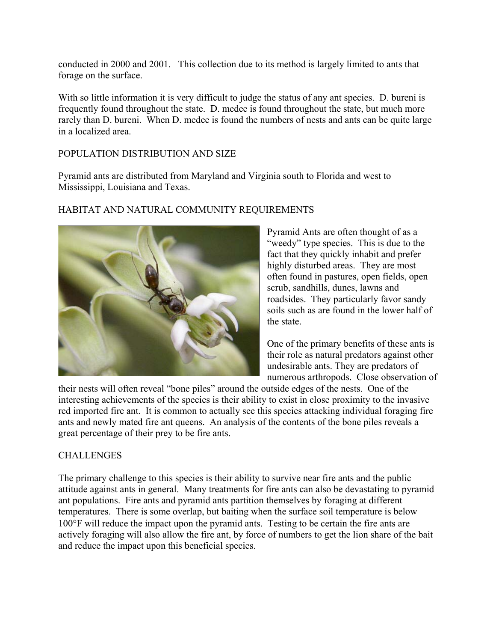conducted in 2000 and 2001. This collection due to its method is largely limited to ants that forage on the surface.

With so little information it is very difficult to judge the status of any ant species. D. bureni is frequently found throughout the state. D. medee is found throughout the state, but much more rarely than D. bureni. When D. medee is found the numbers of nests and ants can be quite large in a localized area.

#### POPULATION DISTRIBUTION AND SIZE

Pyramid ants are distributed from Maryland and Virginia south to Florida and west to Mississippi, Louisiana and Texas.



#### HABITAT AND NATURAL COMMUNITY REQUIREMENTS

Pyramid Ants are often thought of as a "weedy" type species. This is due to the fact that they quickly inhabit and prefer highly disturbed areas. They are most often found in pastures, open fields, open scrub, sandhills, dunes, lawns and roadsides. They particularly favor sandy soils such as are found in the lower half of the state.

One of the primary benefits of these ants is their role as natural predators against other undesirable ants. They are predators of numerous arthropods. Close observation of

their nests will often reveal "bone piles" around the outside edges of the nests. One of the interesting achievements of the species is their ability to exist in close proximity to the invasive red imported fire ant. It is common to actually see this species attacking individual foraging fire ants and newly mated fire ant queens. An analysis of the contents of the bone piles reveals a great percentage of their prey to be fire ants.

## **CHALLENGES**

The primary challenge to this species is their ability to survive near fire ants and the public attitude against ants in general. Many treatments for fire ants can also be devastating to pyramid ant populations. Fire ants and pyramid ants partition themselves by foraging at different temperatures. There is some overlap, but baiting when the surface soil temperature is below 100°F will reduce the impact upon the pyramid ants. Testing to be certain the fire ants are actively foraging will also allow the fire ant, by force of numbers to get the lion share of the bait and reduce the impact upon this beneficial species.